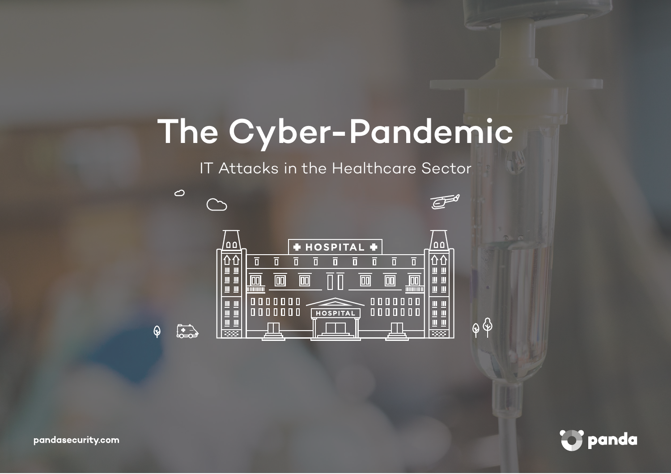# The Cyber-Pandemic

IT Attacks in the Healthcare Sector





pandasecurity.com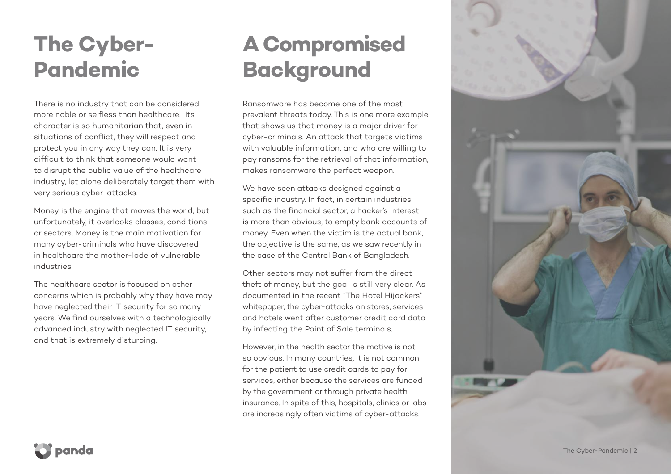### **The Cyber-Pandemic**

There is no industry that can be considered more noble or selfless than healthcare. Its character is so humanitarian that, even in situations of conflict, they will respect and protect you in any way they can. It is very difficult to think that someone would want to disrupt the public value of the healthcare industry, let alone deliberately target them with very serious cyber-attacks.

Money is the engine that moves the world, but unfortunately, it overlooks classes, conditions or sectors. Money is the main motivation for many cyber-criminals who have discovered in healthcare the mother-lode of vulnerable industries.

The healthcare sector is focused on other concerns which is probably why they have may have neglected their IT security for so many years. We find ourselves with a technologically advanced industry with neglected IT security, and that is extremely disturbing.

### **A Compromised Background**

Ransomware has become one of the most prevalent threats today. This is one more example that shows us that money is a major driver for cyber-criminals. An attack that targets victims with valuable information, and who are willing to pay ransoms for the retrieval of that information, makes ransomware the perfect weapon.

We have seen attacks designed against a specific industry. In fact, in certain industries such as the financial sector, a hacker's interest is more than obvious, to empty bank accounts of money. Even when the victim is the actual bank, the objective is the same, as we saw recently in the case of the Central Bank of Bangladesh.

Other sectors may not suffer from the direct theft of money, but the goal is still very clear. As documented in the recent "The Hotel Hijackers" whitepaper, the cyber-attacks on stores, services and hotels went after customer credit card data by infecting the Point of Sale terminals.

However, in the health sector the motive is not so obvious. In many countries, it is not common for the patient to use credit cards to pay for services, either because the services are funded by the government or through private health insurance. In spite of this, hospitals, clinics or labs are increasingly often victims of cyber-attacks.

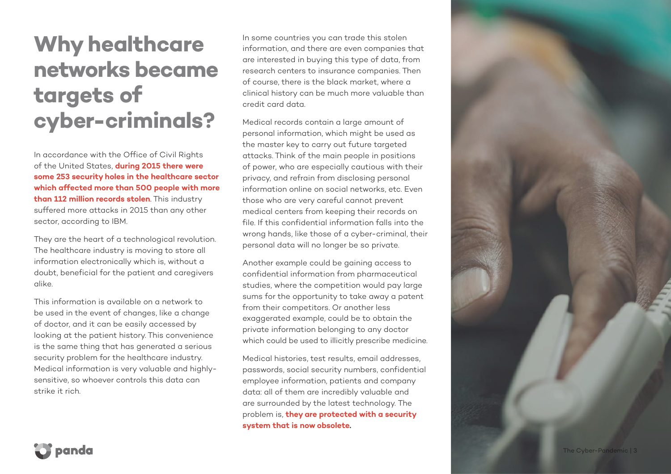### **Why healthcare networks became targets of cyber-criminals?**

In accordance with the Office of Civil Rights of the United States, **during 2015 there were some 253 security holes in the healthcare sector which affected more than 500 people with more than 112 million records stolen**. This industry suffered more attacks in 2015 than any other sector, according to IBM.

They are the heart of a technological revolution. The healthcare industry is moving to store all information electronically which is, without a doubt, beneficial for the patient and caregivers alike.

This information is available on a network to be used in the event of changes, like a change of doctor, and it can be easily accessed by looking at the patient history. This convenience is the same thing that has generated a serious security problem for the healthcare industry. Medical information is very valuable and highlysensitive, so whoever controls this data can strike it rich.

In some countries you can trade this stolen information, and there are even companies that are interested in buying this type of data, from research centers to insurance companies. Then of course, there is the black market, where a clinical history can be much more valuable than credit card data.

Medical records contain a large amount of personal information, which might be used as the master key to carry out future targeted attacks. Think of the main people in positions of power, who are especially cautious with their privacy, and refrain from disclosing personal information online on social networks, etc. Even those who are very careful cannot prevent medical centers from keeping their records on file. If this confidential information falls into the wrong hands, like those of a cyber-criminal, their personal data will no longer be so private.

Another example could be gaining access to confidential information from pharmaceutical studies, where the competition would pay large sums for the opportunity to take away a patent from their competitors. Or another less exaggerated example, could be to obtain the private information belonging to any doctor which could be used to illicitly prescribe medicine.

Medical histories, test results, email addresses, passwords, social security numbers, confidential employee information, patients and company data: all of them are incredibly valuable and are surrounded by the latest technology. The problem is, **they are protected with a security system that is now obsolete .**

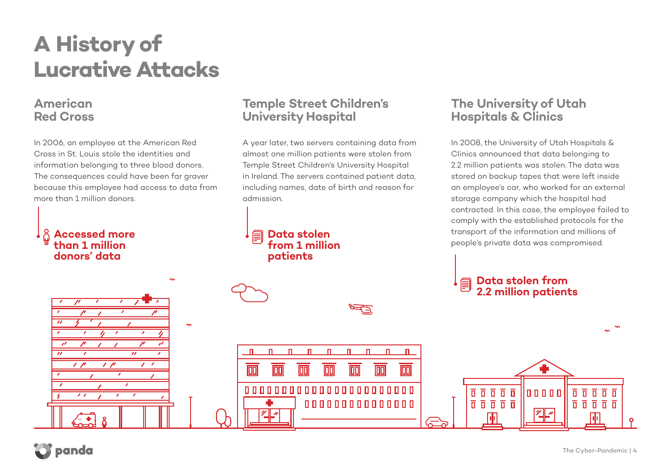### **A History of Lucrative Attacks**

#### **American Red Cross**

In 2006, an employee at the American Red Cross in St. Louis stole the identities and information belonging to three blood donors. The consequences could have been far graver because this employee had access to data from more than 1 million donors.

 $\sim$ 

 $\mathbf{u}$ 

 $\overline{\mathbb{m}}$ 

п

 $\overline{\mathbb{D}}$ 

 $\overline{\mathscr{U}}$ 

 $\blacksquare$ 

 $\mathbf{u}$ 

 $\overline{\mathbb{m}}$ 

 $\mathbf{\mathsf{u}}$ 

 $\overline{\mathbb{D}}$ 

00000000000000000000000

#### **Accessed more than 1 million donors' data**

#### **Temple Street Children's University Hospital**

A year later, two servers containing data from almost one million patients were stolen from Temple Street Children's University Hospital in Ireland. The servers contained patient data, including names, date of birth and reason for admission.

P

 $\mathbf{u}$ 

 $\mathbf{u}$ 

m

л

m

П.

 $\overline{\mathbb{D}}$ 

000000000000000

#### **Data stolen from 1 million patients**

#### **The University of Utah Hospitals & Clinics**

In 2008, the University of Utah Hospitals & Clinics announced that data belonging to 2.2 million patients was stolen. The data was stored on backup tapes that were left inside an employee's car, who worked for an external storage company which the hospital had contracted. In this case, the employee failed to comply with the established protocols for the transport of the information and millions of people's private data was compromised.

Innnnn

 $\sqrt{2}$ 



 $\overline{a} \overline{b} \overline{c} \overline{d} \overline{d}$ 

 $\overline{n}$   $\overline{n}$   $\overline{n}$   $\overline{n}$   $\overline{n}$ 

h i

 $\Phi$ 

 $\prime$   $\prime$ 

 $\prime$   $\prime$ 

 $\mathcal{L}$ 

 $\mathcal{A}$ 

 $\overline{\boldsymbol{u}}$ 

 $\overline{0}$ 

 $\overline{n}$   $\overline{n}$   $\overline{n}$   $\overline{n}$   $\overline{n}$ 

帀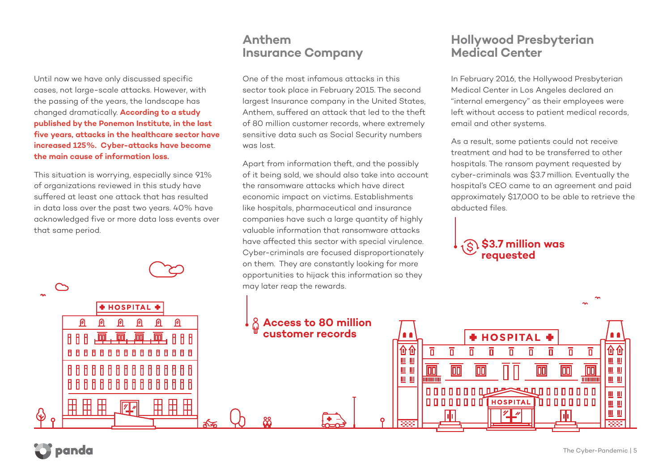Until now we have only discussed specific cases, not large-scale attacks. However, with the passing of the years, the landscape has changed dramatically. **According to a study published by the Ponemon Institute, in the last five years, attacks in the healthcare sector have increased 125%. Cyber-attacks have become the main cause of information loss.**

This situation is worrying, especially since 91% of organizations reviewed in this study have suffered at least one attack that has resulted in data loss over the past two years. 40% have acknowledged five or more data loss events over that same period.

#### **Anthem Insurance Company**

One of the most infamous attacks in this sector took place in February 2015. The second largest Insurance company in the United States, Anthem, suffered an attack that led to the theft of 80 million customer records, where extremely sensitive data such as Social Security numbers was lost.

Apart from information theft, and the possibly of it being sold, we should also take into account the ransomware attacks which have direct economic impact on victims. Establishments like hospitals, pharmaceutical and insurance companies have such a large quantity of highly valuable information that ransomware attacks have affected this sector with special virulence. Cyber-criminals are focused disproportionately on them. They are constantly looking for more opportunities to hijack this information so they may later reap the rewards.

#### **Hollywood Presbyterian Medical Center**

In February 2016, the Hollywood Presbyterian Medical Center in Los Angeles declared an "internal emergency" as their employees were left without access to patient medical records, email and other systems.

As a result, some patients could not receive treatment and had to be transferred to other hospitals. The ransom payment requested by cyber-criminals was \$3.7 million. Eventually the hospital's CEO came to an agreement and paid approximately \$17,000 to be able to retrieve the abducted files.





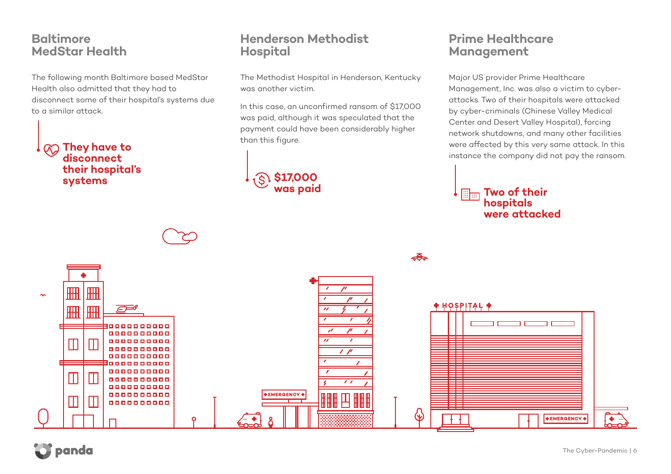#### **Baltimore MedStar Health**

The following month Baltimore based MedStar Health also admitted that they had to disconnect some of their hospital's systems due to a similar attack.

**They have to disconnect their hospital's systems**

#### **Henderson Methodist Hospital**

The Methodist Hospital in Henderson, Kentucky was another victim.

In this case, an unconfirmed ransom of \$17,000 was paid, although it was speculated that the payment could have been considerably higher than this figure.

## **\$17,000**

#### **Prime Healthcare Management**

Major US provider Prime Healthcare Management, Inc. was also a victim to cyberattacks. Two of their hospitals were attacked by cyber-criminals (Chinese Valley Medical Center and Desert Valley Hospital), forcing network shutdowns, and many other facilities were affected by this very same attack. In this instance the company did not pay the ransom.

#### **was paid Two of their Two of their hospitals were attacked**

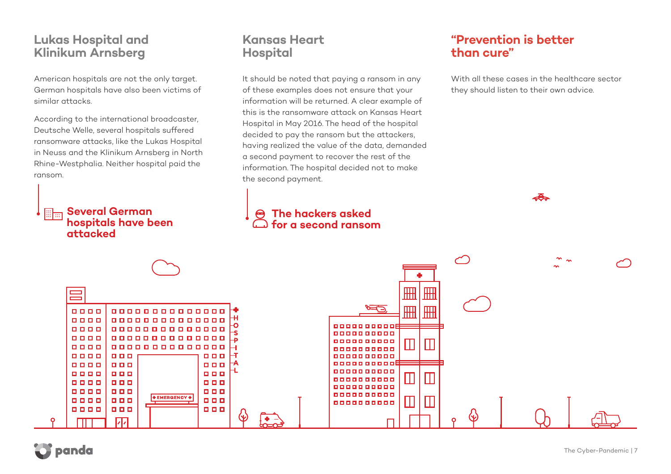#### **Lukas Hospital and Klinikum Arnsberg**

American hospitals are not the only target. German hospitals have also been victims of similar attacks.

According to the international broadcaster, Deutsche Welle, several hospitals suffered ransomware attacks, like the Lukas Hospital in Neuss and the Klinikum Arnsberg in North Rhine-Westphalia. Neither hospital paid the ransom.

> **Several German hospitals have been**

#### **Kansas Heart Hospital**

It should be noted that paying a ransom in any of these examples does not ensure that your information will be returned. A clear example of this is the ransomware attack on Kansas Heart Hospital in May 2016. The head of the hospital decided to pay the ransom but the attackers, having realized the value of the data, demanded a second payment to recover the rest of the information. The hospital decided not to make the second payment.

#### **The hackers asked for a second ransom**

#### **"Prevention is better than cure"**

With all these cases in the healthcare sector they should listen to their own advice.



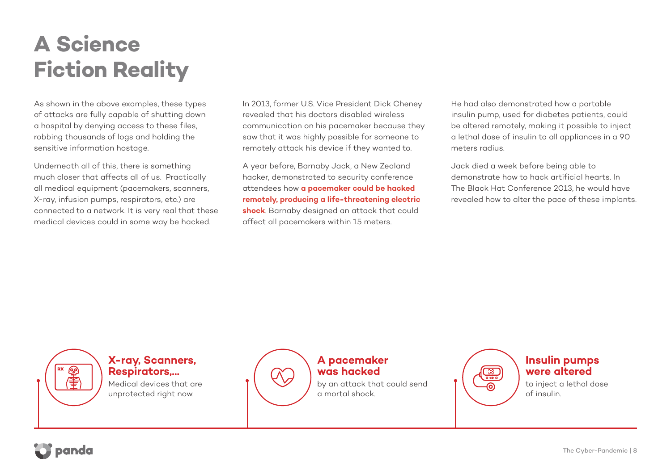### **A Science Fiction Reality**

As shown in the above examples, these types of attacks are fully capable of shutting down a hospital by denying access to these files, robbing thousands of logs and holding the sensitive information hostage.

Underneath all of this, there is something much closer that affects all of us. Practically all medical equipment (pacemakers, scanners, X-ray, infusion pumps, respirators, etc.) are connected to a network. It is very real that these medical devices could in some way be hacked.

In 2013, former U.S. Vice President Dick Cheney revealed that his doctors disabled wireless communication on his pacemaker because they saw that it was highly possible for someone to remotely attack his device if they wanted to.

A year before, Barnaby Jack, a New Zealand hacker, demonstrated to security conference attendees how **a pacemaker could be hacked remotely, producing a life-threatening electric shock**. Barnaby designed an attack that could affect all pacemakers within 15 meters.

He had also demonstrated how a portable insulin pump, used for diabetes patients, could be altered remotely, making it possible to inject a lethal dose of insulin to all appliances in a 90 meters radius.

Jack died a week before being able to demonstrate how to hack artificial hearts. In The Black Hat Conference 2013, he would have revealed how to alter the pace of these implants.

**X-ray, Scanners, Respirators,...**

Medical devices that are unprotected right now.



#### **A pacemaker was hacked**

by an attack that could send a mortal shock.



#### **Insulin pumps were altered**

to inject a lethal dose of insulin.



෨ 聿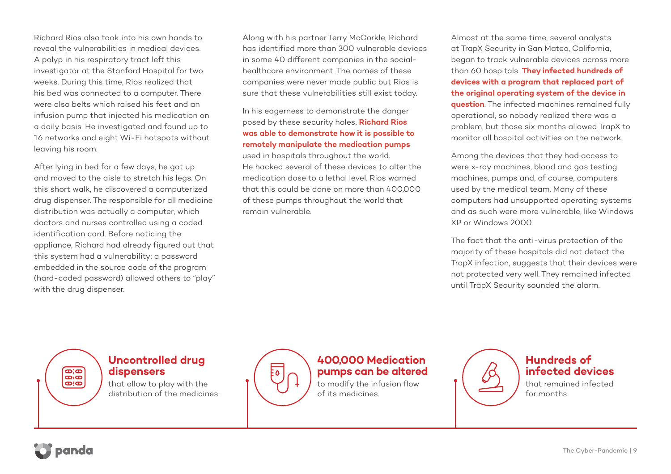Richard Rios also took into his own hands to reveal the vulnerabilities in medical devices. A polyp in his respiratory tract left this investigator at the Stanford Hospital for two weeks. During this time, Rios realized that his bed was connected to a computer. There were also belts which raised his feet and an infusion pump that injected his medication on a daily basis. He investigated and found up to 16 networks and eight Wi-Fi hotspots without leaving his room.

After lying in bed for a few days, he got up and moved to the aisle to stretch his legs. On this short walk, he discovered a computerized drug dispenser. The responsible for all medicine distribution was actually a computer, which doctors and nurses controlled using a coded identification card. Before noticing the appliance, Richard had already figured out that this system had a vulnerability: a password embedded in the source code of the program (hard-coded password) allowed others to "play" with the drug dispenser.

Along with his partner Terry McCorkle, Richard has identified more than 300 vulnerable devices in some 40 different companies in the socialhealthcare environment. The names of these companies were never made public but Rios is sure that these vulnerabilities still exist today.

#### In his eagerness to demonstrate the danger posed by these security holes, **Richard Rios was able to demonstrate how it is possible to remotely manipulate the medication pumps**

used in hospitals throughout the world. He hacked several of these devices to alter the medication dose to a lethal level. Rios warned that this could be done on more than 400,000 of these pumps throughout the world that remain vulnerable.

Almost at the same time, several analysts at TrapX Security in San Mateo, California, began to track vulnerable devices across more than 60 hospitals. **They infected hundreds of devices with a program that replaced part of the original operating system of the device in question**. The infected machines remained fully operational, so nobody realized there was a problem, but those six months allowed TrapX to monitor all hospital activities on the network.

Among the devices that they had access to were x-ray machines, blood and gas testing machines, pumps and, of course, computers used by the medical team. Many of these computers had unsupported operating systems and as such were more vulnerable, like Windows XP or Windows 2000.

The fact that the anti-virus protection of the majority of these hospitals did not detect the TrapX infection, suggests that their devices were not protected very well. They remained infected until TrapX Security sounded the alarm.

#### **Uncontrolled drug dispensers**

that allow to play with the distribution of the medicines.



#### **400,000 Medication pumps can be altered**

to modify the infusion flow of its medicines.



#### **Hundreds of infected devices**

that remained infected for months.



eie<br>eie  $\overline{\mathbf{a}}$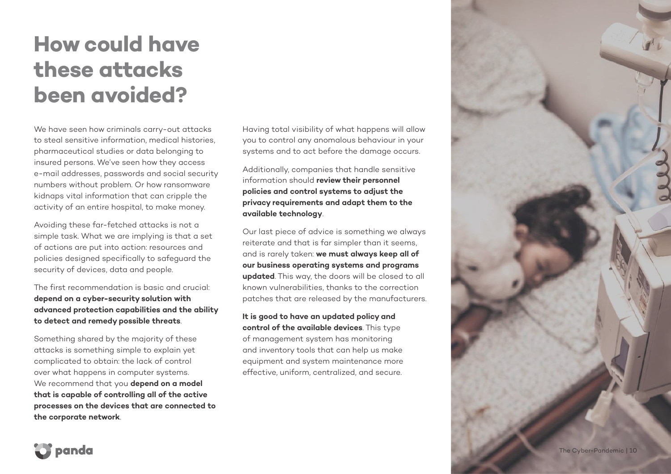### **How could have these attacks been avoided?**

We have seen how criminals carry-out attacks to steal sensitive information, medical histories, pharmaceutical studies or data belonging to insured persons. We've seen how they access e-mail addresses, passwords and social security numbers without problem. Or how ransomware kidnaps vital information that can cripple the activity of an entire hospital, to make money.

Avoiding these far-fetched attacks is not a simple task. What we are implying is that a set of actions are put into action: resources and policies designed specifically to safeguard the security of devices, data and people.

The first recommendation is basic and crucial: **depend on a cyber-security solution with advanced protection capabilities and the ability to detect and remedy possible threats**.

Something shared by the majority of these attacks is something simple to explain yet complicated to obtain: the lack of control over what happens in computer systems. We recommend that you **depend on a model that is capable of controlling all of the active processes on the devices that are connected to the corporate network**.

Having total visibility of what happens will allow you to control any anomalous behaviour in your systems and to act before the damage occurs.

Additionally, companies that handle sensitive information should **review their personnel policies and control systems to adjust the privacy requirements and adapt them to the available technology**.

Our last piece of advice is something we always reiterate and that is far simpler than it seems, and is rarely taken: **we must always keep all of our business operating systems and programs updated**. This way, the doors will be closed to all known vulnerabilities, thanks to the correction patches that are released by the manufacturers.

**It is good to have an updated policy and control of the available devices**. This type of management system has monitoring and inventory tools that can help us make equipment and system maintenance more effective, uniform, centralized, and secure.



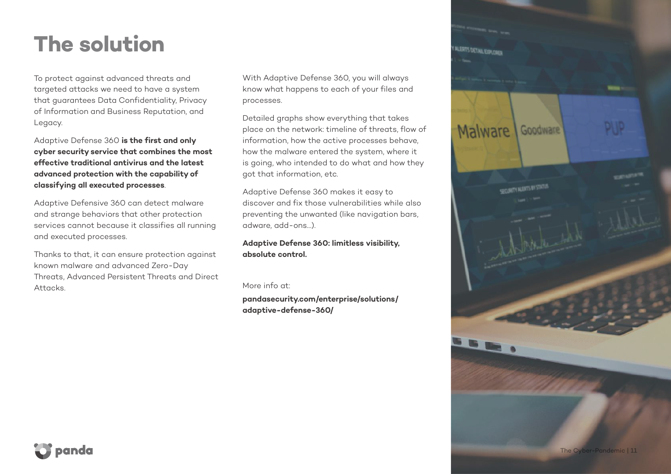### **The solution**

To protect against advanced threats and targeted attacks we need to have a system that guarantees Data Confidentiality, Privacy of Information and Business Reputation, and Legacy.

Adaptive Defense 360 **is the first and only cyber security service that combines the most effective traditional antivirus and the latest advanced protection with the capability of classifying all executed processes**.

Adaptive Defensive 360 can detect malware and strange behaviors that other protection services cannot because it classifies all running and executed processes.

Thanks to that, it can ensure protection against known malware and advanced Zero-Day Threats, Advanced Persistent Threats and Direct Attacks.

With Adaptive Defense 360, you will always know what happens to each of your files and processes.

Detailed graphs show everything that takes place on the network: timeline of threats, flow of information, how the active processes behave, how the malware entered the system, where it is going, who intended to do what and how they got that information, etc.

Adaptive Defense 360 makes it easy to discover and fix those vulnerabilities while also preventing the unwanted (like navigation bars, adware, add-ons…).

**Adaptive Defense 360: limitless visibility, absolute control.**

#### More info at:

**pandasecurity.com/enterprise/solutions/ adaptive-defense-360/**

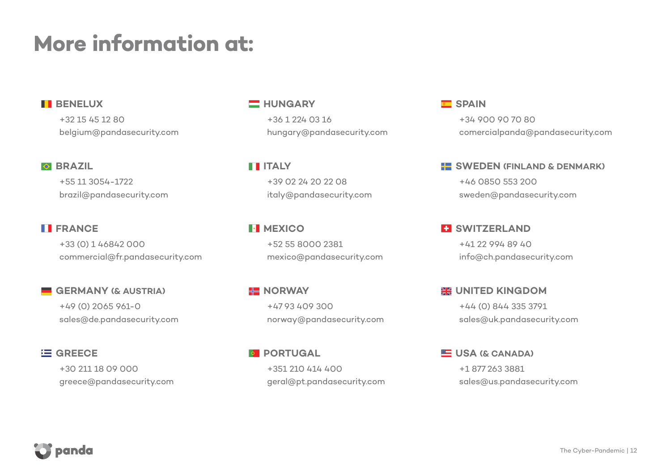### **More information at:**

#### **BENELUX**

+32 15 45 12 80 belgium@pandasecurity.com

#### **BRAZIL**

+55 11 3054-1722 brazil@pandasecurity.com

#### **FRANCE**

+33 (0) 1 46842 000 commercial@fr.pandasecurity.com

**GERMANY (& AUSTRIA)** +49 (0) 2065 961-0 sales@de.pandasecurity.com

#### **E GREECE**

+30 211 18 09 000 greece@pandasecurity.com

#### **HUNGARY**

+36 1 224 03 16 hungary@pandasecurity.com

**ITALY** +39 02 24 20 22 08 italy@pandasecurity.com

**MEXICO** +52 55 8000 2381 mexico@pandasecurity.com

**NORWAY** +47 93 409 300 norway@pandasecurity.com

**PORTUGAL** +351 210 414 400 geral@pt.pandasecurity.com

#### **SPAIN**

+34 900 90 70 80 comercialpanda@pandasecurity.com

#### **SWEDEN (FINLAND & DENMARK)**

+46 0850 553 200 sweden@pandasecurity.com

**ET SWITZERLAND** +41 22 994 89 40 info@ch.pandasecurity.com

**EXAMPLED KINGDOM** +44 (0) 844 335 3791 sales@uk.pandasecurity.com

**ED** USA (& CANADA) +1 877 263 3881 sales@us.pandasecurity.com